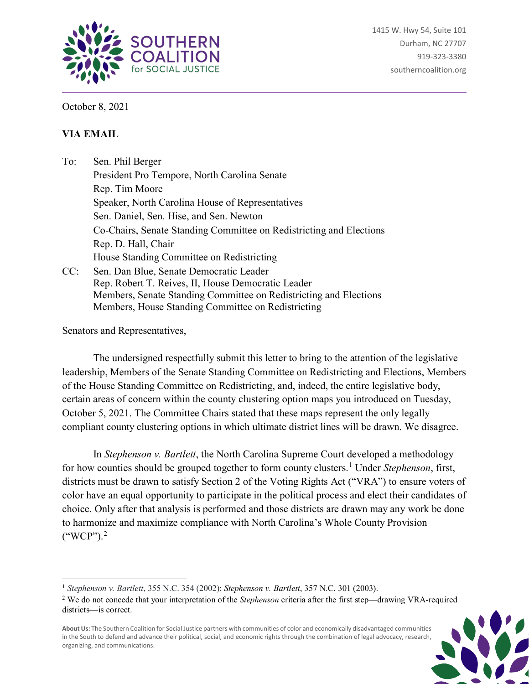

October 8, 2021

## **VIA EMAIL**

To: Sen. Phil Berger President Pro Tempore, North Carolina Senate Rep. Tim Moore Speaker, North Carolina House of Representatives Sen. Daniel, Sen. Hise, and Sen. Newton Co-Chairs, Senate Standing Committee on Redistricting and Elections Rep. D. Hall, Chair House Standing Committee on Redistricting CC: Sen. Dan Blue, Senate Democratic Leader Rep. Robert T. Reives, II, House Democratic Leader Members, Senate Standing Committee on Redistricting and Elections

Members, House Standing Committee on Redistricting

Senators and Representatives,

 $\overline{a}$ 

The undersigned respectfully submit this letter to bring to the attention of the legislative leadership, Members of the Senate Standing Committee on Redistricting and Elections, Members of the House Standing Committee on Redistricting, and, indeed, the entire legislative body, certain areas of concern within the county clustering option maps you introduced on Tuesday, October 5, 2021. The Committee Chairs stated that these maps represent the only legally compliant county clustering options in which ultimate district lines will be drawn. We disagree.

In *Stephenson v. Bartlett*, the North Carolina Supreme Court developed a methodology for how counties should be grouped together to form county clusters.[1](#page-0-0) Under *Stephenson*, first, districts must be drawn to satisfy Section 2 of the Voting Rights Act ("VRA") to ensure voters of color have an equal opportunity to participate in the political process and elect their candidates of choice. Only after that analysis is performed and those districts are drawn may any work be done to harmonize and maximize compliance with North Carolina's Whole County Provision  $("WCP")$ .<sup>[2](#page-0-1)</sup>

**About Us:** The Southern Coalition for Social Justice partners with communities of color and economically disadvantaged communities in the South to defend and advance their political, social, and economic rights through the combination of legal advocacy, research, organizing, and communications.



<span id="page-0-0"></span><sup>1</sup> *Stephenson v. Bartlett*, 355 N.C. 354 (2002); *Stephenson v. Bartlett*, 357 N.C. 301 (2003).

<span id="page-0-1"></span><sup>2</sup> We do not concede that your interpretation of the *Stephenson* criteria after the first step—drawing VRA-required districts—is correct.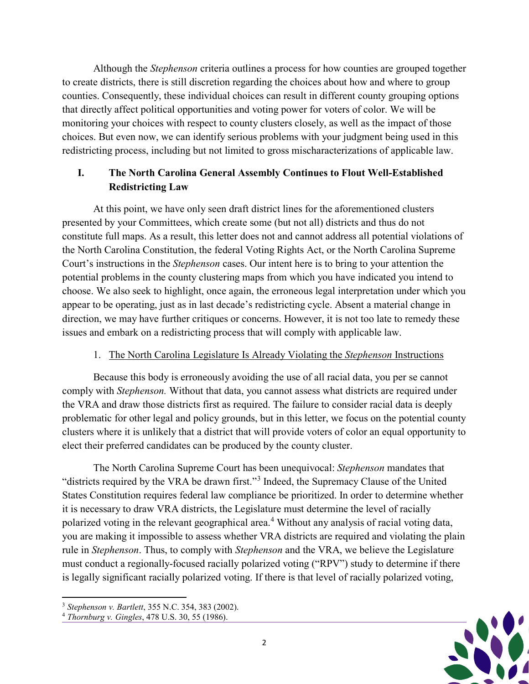Although the *Stephenson* criteria outlines a process for how counties are grouped together to create districts, there is still discretion regarding the choices about how and where to group counties. Consequently, these individual choices can result in different county grouping options that directly affect political opportunities and voting power for voters of color. We will be monitoring your choices with respect to county clusters closely, as well as the impact of those choices. But even now, we can identify serious problems with your judgment being used in this redistricting process, including but not limited to gross mischaracterizations of applicable law.

# **I. The North Carolina General Assembly Continues to Flout Well-Established Redistricting Law**

At this point, we have only seen draft district lines for the aforementioned clusters presented by your Committees, which create some (but not all) districts and thus do not constitute full maps. As a result, this letter does not and cannot address all potential violations of the North Carolina Constitution, the federal Voting Rights Act, or the North Carolina Supreme Court's instructions in the *Stephenson* cases. Our intent here is to bring to your attention the potential problems in the county clustering maps from which you have indicated you intend to choose. We also seek to highlight, once again, the erroneous legal interpretation under which you appear to be operating, just as in last decade's redistricting cycle. Absent a material change in direction, we may have further critiques or concerns. However, it is not too late to remedy these issues and embark on a redistricting process that will comply with applicable law.

## 1. The North Carolina Legislature Is Already Violating the *Stephenson* Instructions

Because this body is erroneously avoiding the use of all racial data, you per se cannot comply with *Stephenson.* Without that data, you cannot assess what districts are required under the VRA and draw those districts first as required. The failure to consider racial data is deeply problematic for other legal and policy grounds, but in this letter, we focus on the potential county clusters where it is unlikely that a district that will provide voters of color an equal opportunity to elect their preferred candidates can be produced by the county cluster.

The North Carolina Supreme Court has been unequivocal: *Stephenson* mandates that "districts required by the VRA be drawn first."[3](#page-1-0) Indeed, the Supremacy Clause of the United States Constitution requires federal law compliance be prioritized. In order to determine whether it is necessary to draw VRA districts, the Legislature must determine the level of racially polarized voting in the relevant geographical area.<sup>[4](#page-1-1)</sup> Without any analysis of racial voting data, you are making it impossible to assess whether VRA districts are required and violating the plain rule in *Stephenson*. Thus, to comply with *Stephenson* and the VRA, we believe the Legislature must conduct a regionally-focused racially polarized voting ("RPV") study to determine if there is legally significant racially polarized voting. If there is that level of racially polarized voting,



<span id="page-1-0"></span> $\overline{a}$ <sup>3</sup> *Stephenson v. Bartlett*, 355 N.C. 354, 383 (2002).

<span id="page-1-1"></span><sup>4</sup> *Thornburg v. Gingles*, 478 U.S. 30, 55 (1986).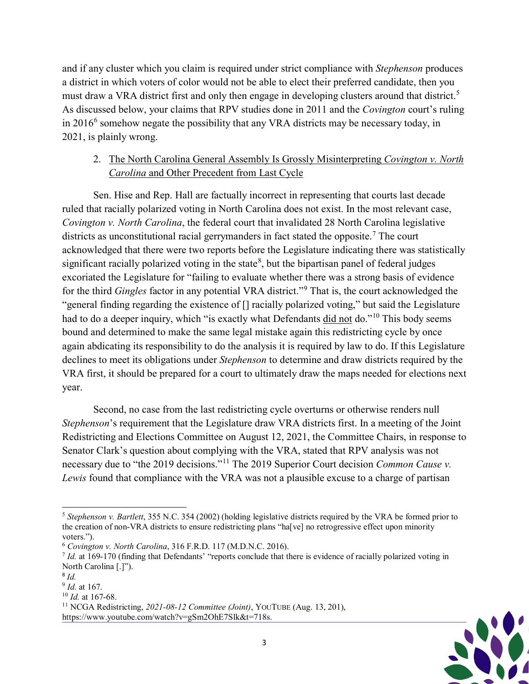and if any cluster which you claim is required under strict compliance with *Stephenson* produces a district in which voters of color would not be able to elect their preferred candidate, then you must draw a VRA district first and only then engage in developing clusters around that district.<sup>[5](#page-2-0)</sup> As discussed below, your claims that RPV studies done in 2011 and the *Covington* court's ruling in  $2016<sup>6</sup>$  $2016<sup>6</sup>$  $2016<sup>6</sup>$  somehow negate the possibility that any VRA districts may be necessary today, in 2021, is plainly wrong.

## 2. The North Carolina General Assembly Is Grossly Misinterpreting *Covington v. North Carolina* and Other Precedent from Last Cycle

Sen. Hise and Rep. Hall are factually incorrect in representing that courts last decade ruled that racially polarized voting in North Carolina does not exist. In the most relevant case, *Covington v. North Carolina*, the federal court that invalidated 28 North Carolina legislative districts as unconstitutional racial gerrymanders in fact stated the opposite.<sup>[7](#page-2-2)</sup> The court acknowledged that there were two reports before the Legislature indicating there was statistically significant racially polarized voting in the state<sup>[8](#page-2-3)</sup>, but the bipartisan panel of federal judges excoriated the Legislature for "failing to evaluate whether there was a strong basis of evidence for the third *Gingles* factor in any potential VRA district."[9](#page-2-4) That is, the court acknowledged the "general finding regarding the existence of [] racially polarized voting," but said the Legislature had to do a deeper inquiry, which "is exactly what Defendants did not do."<sup>[10](#page-2-5)</sup> This body seems bound and determined to make the same legal mistake again this redistricting cycle by once again abdicating its responsibility to do the analysis it is required by law to do. If this Legislature declines to meet its obligations under *Stephenson* to determine and draw districts required by the VRA first, it should be prepared for a court to ultimately draw the maps needed for elections next year.

Second, no case from the last redistricting cycle overturns or otherwise renders null *Stephenson*'s requirement that the Legislature draw VRA districts first. In a meeting of the Joint Redistricting and Elections Committee on August 12, 2021, the Committee Chairs, in response to Senator Clark's question about complying with the VRA, stated that RPV analysis was not necessary due to "the 2019 decisions."<sup>[11](#page-2-6)</sup> The 2019 Superior Court decision *Common Cause v*. *Lewis* found that compliance with the VRA was not a plausible excuse to a charge of partisan



<span id="page-2-0"></span> $\overline{a}$ <sup>5</sup> *Stephenson v. Bartlett*, 355 N.C. 354 (2002) (holding legislative districts required by the VRA be formed prior to the creation of non-VRA districts to ensure redistricting plans "ha[ve] no retrogressive effect upon minority voters.").

<span id="page-2-1"></span><sup>6</sup> *Covington v. North Carolina*, 316 F.R.D. 117 (M.D.N.C. 2016).

<span id="page-2-2"></span><sup>7</sup> *Id.* at 169-170 (finding that Defendants' "reports conclude that there is evidence of racially polarized voting in North Carolina [.]").

<span id="page-2-3"></span><sup>8</sup> *Id.*

<span id="page-2-4"></span><sup>9</sup> *Id.* at 167.

<span id="page-2-5"></span><sup>10</sup> *Id.* at 167-68.

<span id="page-2-6"></span><sup>11</sup> NCGA Redistricting, *2021-08-12 Committee (Joint)*, YOUTUBE (Aug. 13, 201), https://www.youtube.com/watch?v=gSm2OhE7Slk&t=718s.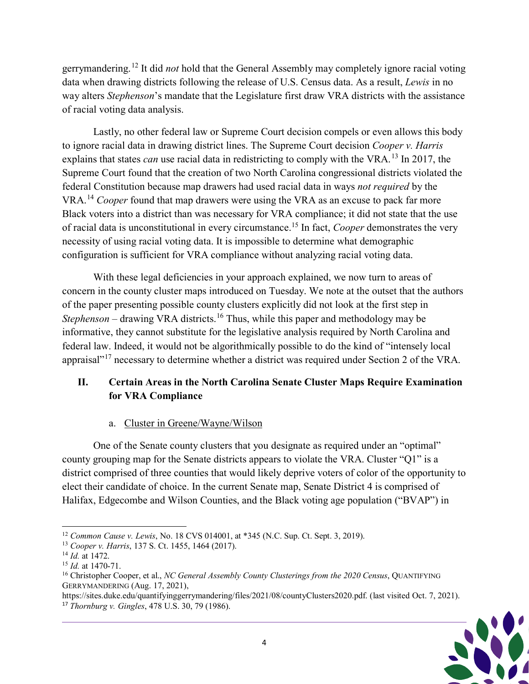gerrymandering.[12](#page-3-0) It did *not* hold that the General Assembly may completely ignore racial voting data when drawing districts following the release of U.S. Census data. As a result, *Lewis* in no way alters *Stephenson*'s mandate that the Legislature first draw VRA districts with the assistance of racial voting data analysis.

Lastly, no other federal law or Supreme Court decision compels or even allows this body to ignore racial data in drawing district lines. The Supreme Court decision *Cooper v. Harris* explains that states *can* use racial data in redistricting to comply with the VRA.<sup>[13](#page-3-1)</sup> In 2017, the Supreme Court found that the creation of two North Carolina congressional districts violated the federal Constitution because map drawers had used racial data in ways *not required* by the VRA.[14](#page-3-2) *Cooper* found that map drawers were using the VRA as an excuse to pack far more Black voters into a district than was necessary for VRA compliance; it did not state that the use of racial data is unconstitutional in every circumstance.[15](#page-3-3) In fact, *Cooper* demonstrates the very necessity of using racial voting data. It is impossible to determine what demographic configuration is sufficient for VRA compliance without analyzing racial voting data.

With these legal deficiencies in your approach explained, we now turn to areas of concern in the county cluster maps introduced on Tuesday. We note at the outset that the authors of the paper presenting possible county clusters explicitly did not look at the first step in *Stephenson* – drawing VRA districts.<sup>[16](#page-3-4)</sup> Thus, while this paper and methodology may be informative, they cannot substitute for the legislative analysis required by North Carolina and federal law. Indeed, it would not be algorithmically possible to do the kind of "intensely local appraisal"<sup>[17](#page-3-5)</sup> necessary to determine whether a district was required under Section 2 of the VRA.

# **II. Certain Areas in the North Carolina Senate Cluster Maps Require Examination for VRA Compliance**

## a. Cluster in Greene/Wayne/Wilson

One of the Senate county clusters that you designate as required under an "optimal" county grouping map for the Senate districts appears to violate the VRA. Cluster "Q1" is a district comprised of three counties that would likely deprive voters of color of the opportunity to elect their candidate of choice. In the current Senate map, Senate District 4 is comprised of Halifax, Edgecombe and Wilson Counties, and the Black voting age population ("BVAP") in

<span id="page-3-5"></span>https://sites.duke.edu/quantifyinggerrymandering/files/2021/08/countyClusters2020.pdf. (last visited Oct. 7, 2021). <sup>17</sup> *Thornburg v. Gingles*, 478 U.S. 30, 79 (1986).



<span id="page-3-0"></span> $\overline{a}$ <sup>12</sup> *Common Cause v. Lewis*, No. 18 CVS 014001, at \*345 (N.C. Sup. Ct. Sept. 3, 2019).

<span id="page-3-1"></span><sup>13</sup> *Cooper v. Harris*, 137 S. Ct. 1455, 1464 (2017).

<span id="page-3-2"></span><sup>14</sup> *Id.* at 1472.

<span id="page-3-3"></span><sup>15</sup> *Id.* at 1470-71.

<span id="page-3-4"></span><sup>16</sup> Christopher Cooper, et al., *NC General Assembly County Clusterings from the 2020 Census*, QUANTIFYING GERRYMANDERING (Aug. 17, 2021),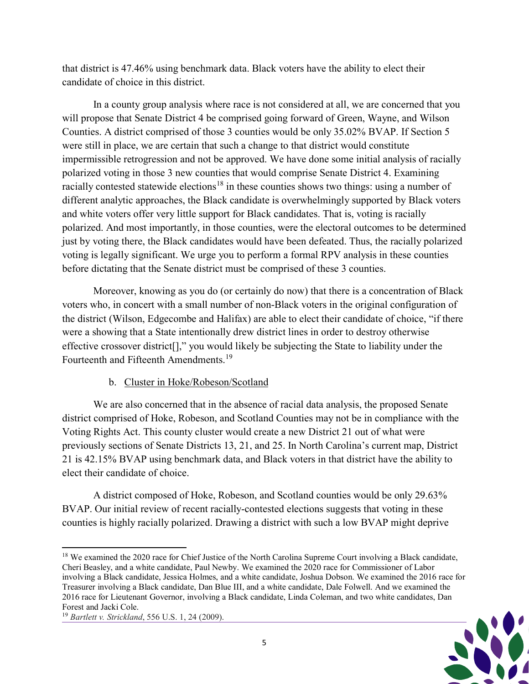that district is 47.46% using benchmark data. Black voters have the ability to elect their candidate of choice in this district.

In a county group analysis where race is not considered at all, we are concerned that you will propose that Senate District 4 be comprised going forward of Green, Wayne, and Wilson Counties. A district comprised of those 3 counties would be only 35.02% BVAP. If Section 5 were still in place, we are certain that such a change to that district would constitute impermissible retrogression and not be approved. We have done some initial analysis of racially polarized voting in those 3 new counties that would comprise Senate District 4. Examining racially contested statewide elections<sup>[18](#page-4-0)</sup> in these counties shows two things: using a number of different analytic approaches, the Black candidate is overwhelmingly supported by Black voters and white voters offer very little support for Black candidates. That is, voting is racially polarized. And most importantly, in those counties, were the electoral outcomes to be determined just by voting there, the Black candidates would have been defeated. Thus, the racially polarized voting is legally significant. We urge you to perform a formal RPV analysis in these counties before dictating that the Senate district must be comprised of these 3 counties.

Moreover, knowing as you do (or certainly do now) that there is a concentration of Black voters who, in concert with a small number of non-Black voters in the original configuration of the district (Wilson, Edgecombe and Halifax) are able to elect their candidate of choice, "if there were a showing that a State intentionally drew district lines in order to destroy otherwise effective crossover district[]," you would likely be subjecting the State to liability under the Fourteenth and Fifteenth Amendments.<sup>[19](#page-4-1)</sup>

#### b. Cluster in Hoke/Robeson/Scotland

We are also concerned that in the absence of racial data analysis, the proposed Senate district comprised of Hoke, Robeson, and Scotland Counties may not be in compliance with the Voting Rights Act. This county cluster would create a new District 21 out of what were previously sections of Senate Districts 13, 21, and 25. In North Carolina's current map, District 21 is 42.15% BVAP using benchmark data, and Black voters in that district have the ability to elect their candidate of choice.

A district composed of Hoke, Robeson, and Scotland counties would be only 29.63% BVAP. Our initial review of recent racially-contested elections suggests that voting in these counties is highly racially polarized. Drawing a district with such a low BVAP might deprive



<span id="page-4-0"></span> $\overline{a}$ <sup>18</sup> We examined the 2020 race for Chief Justice of the North Carolina Supreme Court involving a Black candidate, Cheri Beasley, and a white candidate, Paul Newby. We examined the 2020 race for Commissioner of Labor involving a Black candidate, Jessica Holmes, and a white candidate, Joshua Dobson. We examined the 2016 race for Treasurer involving a Black candidate, Dan Blue III, and a white candidate, Dale Folwell. And we examined the 2016 race for Lieutenant Governor, involving a Black candidate, Linda Coleman, and two white candidates, Dan Forest and Jacki Cole.

<span id="page-4-1"></span><sup>19</sup> *Bartlett v. Strickland*, 556 U.S. 1, 24 (2009).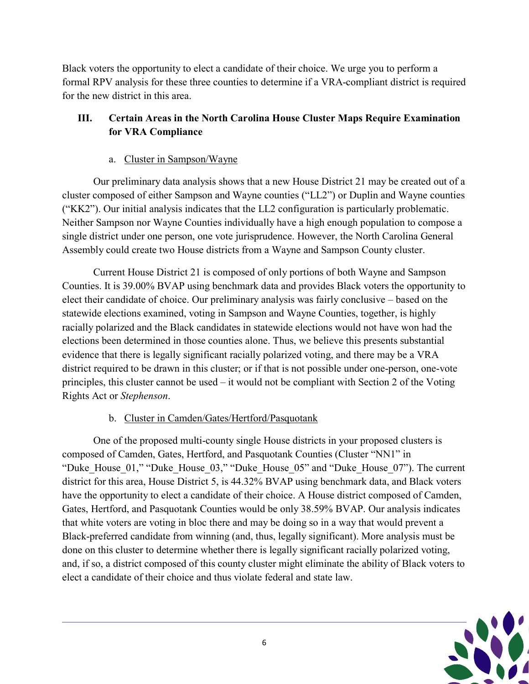Black voters the opportunity to elect a candidate of their choice. We urge you to perform a formal RPV analysis for these three counties to determine if a VRA-compliant district is required for the new district in this area.

# **III. Certain Areas in the North Carolina House Cluster Maps Require Examination for VRA Compliance**

# a. Cluster in Sampson/Wayne

Our preliminary data analysis shows that a new House District 21 may be created out of a cluster composed of either Sampson and Wayne counties ("LL2") or Duplin and Wayne counties ("KK2"). Our initial analysis indicates that the LL2 configuration is particularly problematic. Neither Sampson nor Wayne Counties individually have a high enough population to compose a single district under one person, one vote jurisprudence. However, the North Carolina General Assembly could create two House districts from a Wayne and Sampson County cluster.

Current House District 21 is composed of only portions of both Wayne and Sampson Counties. It is 39.00% BVAP using benchmark data and provides Black voters the opportunity to elect their candidate of choice. Our preliminary analysis was fairly conclusive – based on the statewide elections examined, voting in Sampson and Wayne Counties, together, is highly racially polarized and the Black candidates in statewide elections would not have won had the elections been determined in those counties alone. Thus, we believe this presents substantial evidence that there is legally significant racially polarized voting, and there may be a VRA district required to be drawn in this cluster; or if that is not possible under one-person, one-vote principles, this cluster cannot be used – it would not be compliant with Section 2 of the Voting Rights Act or *Stephenson*.

# b. Cluster in Camden/Gates/Hertford/Pasquotank

One of the proposed multi-county single House districts in your proposed clusters is composed of Camden, Gates, Hertford, and Pasquotank Counties (Cluster "NN1" in "Duke\_House\_01," "Duke\_House\_03," "Duke\_House\_05" and "Duke\_House\_07"). The current district for this area, House District 5, is 44.32% BVAP using benchmark data, and Black voters have the opportunity to elect a candidate of their choice. A House district composed of Camden, Gates, Hertford, and Pasquotank Counties would be only 38.59% BVAP. Our analysis indicates that white voters are voting in bloc there and may be doing so in a way that would prevent a Black-preferred candidate from winning (and, thus, legally significant). More analysis must be done on this cluster to determine whether there is legally significant racially polarized voting, and, if so, a district composed of this county cluster might eliminate the ability of Black voters to elect a candidate of their choice and thus violate federal and state law.